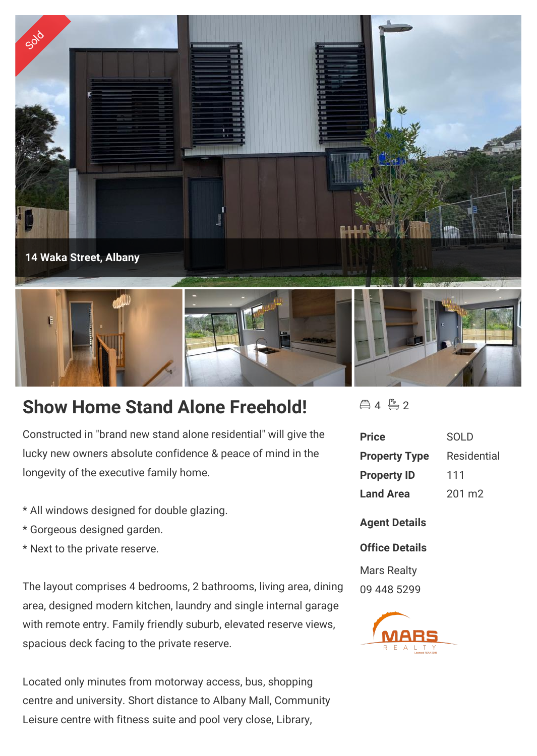

## **Show Home Stand Alone Freehold!**

Constructed in "brand new stand alone residential" will give the lucky new owners absolute confidence & peace of mind in the longevity of the executive family home.

- \* All windows designed for double glazing.
- \* Gorgeous designed garden.
- \* Next to the private reserve.

The layout comprises 4 bedrooms, 2 bathrooms, living area, dining area, designed modern kitchen, laundry and single internal garage with remote entry. Family friendly suburb, elevated reserve views, spacious deck facing to the private reserve.

Located only minutes from motorway access, bus, shopping centre and university. Short distance to Albany Mall, Community Leisure centre with fitness suite and pool very close, Library,

 $442$ 

| <b>Price</b>         | SOL D       |
|----------------------|-------------|
| <b>Property Type</b> | Residential |
| <b>Property ID</b>   | 111         |
| <b>Land Area</b>     | 201 m2      |

**Agent Details**

## **Office Details**

Mars Realty 09 448 5299